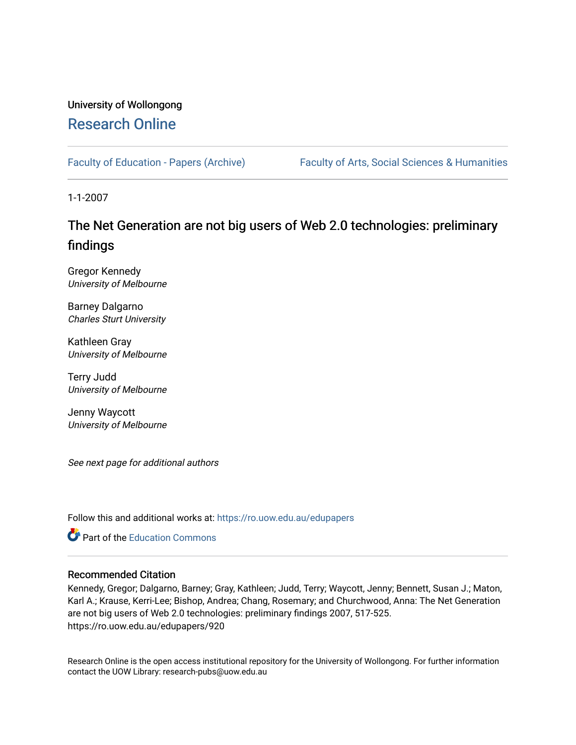## University of Wollongong [Research Online](https://ro.uow.edu.au/)

[Faculty of Education - Papers \(Archive\)](https://ro.uow.edu.au/edupapers) Faculty of Arts, Social Sciences & Humanities

1-1-2007

# The Net Generation are not big users of Web 2.0 technologies: preliminary findings

Gregor Kennedy University of Melbourne

Barney Dalgarno Charles Sturt University

Kathleen Gray University of Melbourne

Terry Judd University of Melbourne

Jenny Waycott University of Melbourne

See next page for additional authors

Follow this and additional works at: [https://ro.uow.edu.au/edupapers](https://ro.uow.edu.au/edupapers?utm_source=ro.uow.edu.au%2Fedupapers%2F920&utm_medium=PDF&utm_campaign=PDFCoverPages) 

**Part of the [Education Commons](http://network.bepress.com/hgg/discipline/784?utm_source=ro.uow.edu.au%2Fedupapers%2F920&utm_medium=PDF&utm_campaign=PDFCoverPages)** 

#### Recommended Citation

Kennedy, Gregor; Dalgarno, Barney; Gray, Kathleen; Judd, Terry; Waycott, Jenny; Bennett, Susan J.; Maton, Karl A.; Krause, Kerri-Lee; Bishop, Andrea; Chang, Rosemary; and Churchwood, Anna: The Net Generation are not big users of Web 2.0 technologies: preliminary findings 2007, 517-525. https://ro.uow.edu.au/edupapers/920

Research Online is the open access institutional repository for the University of Wollongong. For further information contact the UOW Library: research-pubs@uow.edu.au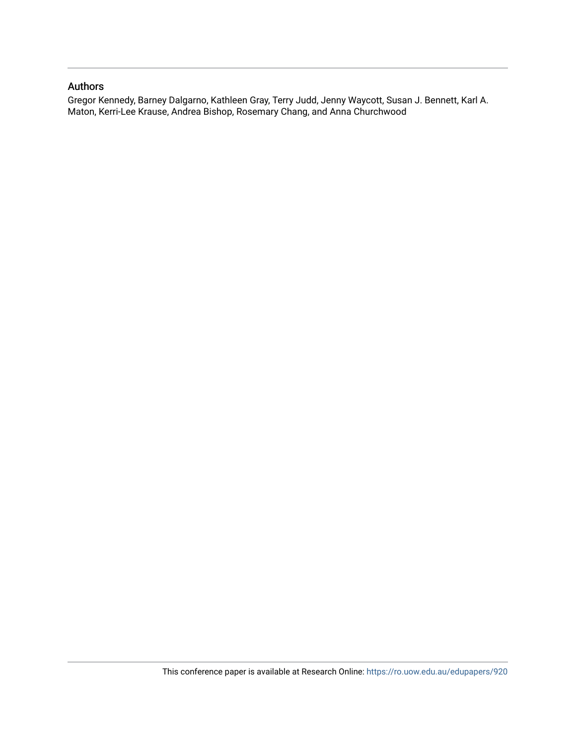#### Authors

Gregor Kennedy, Barney Dalgarno, Kathleen Gray, Terry Judd, Jenny Waycott, Susan J. Bennett, Karl A. Maton, Kerri-Lee Krause, Andrea Bishop, Rosemary Chang, and Anna Churchwood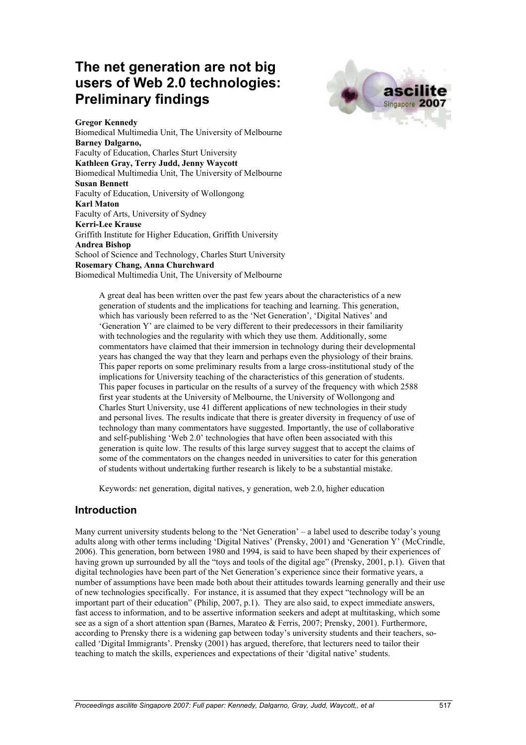# **The net generation are not big users of Web 2.0 technologies: Preliminary findings**



**Gregor Kennedy** Biomedical Multimedia Unit, The University of Melbourne **Barney Dalgarno,** Faculty of Education, Charles Sturt University **Kathleen Gray, Terry Judd, Jenny Waycott** Biomedical Multimedia Unit, The University of Melbourne **Susan Bennett** Faculty of Education, University of Wollongong **Karl Maton** Faculty of Arts, University of Sydney **Kerri-Lee Krause** Griffith Institute for Higher Education, Griffith University **Andrea Bishop** School of Science and Technology, Charles Sturt University **Rosemary Chang, Anna Churchward** Biomedical Multimedia Unit, The University of Melbourne

> A great deal has been written over the past few years about the characteristics of a new generation of students and the implications for teaching and learning. This generation, which has variously been referred to as the 'Net Generation', 'Digital Natives' and 'Generation Y' are claimed to be very different to their predecessors in their familiarity with technologies and the regularity with which they use them. Additionally, some commentators have claimed that their immersion in technology during their developmental years has changed the way that they learn and perhaps even the physiology of their brains. This paper reports on some preliminary results from a large cross-institutional study of the implications for University teaching of the characteristics of this generation of students. This paper focuses in particular on the results of a survey of the frequency with which 2588 first year students at the University of Melbourne, the University of Wollongong and Charles Sturt University, use 41 different applications of new technologies in their study and personal lives. The results indicate that there is greater diversity in frequency of use of technology than many commentators have suggested. Importantly, the use of collaborative and self-publishing 'Web 2.0' technologies that have often been associated with this generation is quite low. The results of this large survey suggest that to accept the claims of some of the commentators on the changes needed in universities to cater for this generation of students without undertaking further research is likely to be a substantial mistake.

Keywords: net generation, digital natives, y generation, web 2.0, higher education

### **Introduction**

Many current university students belong to the 'Net Generation' – a label used to describe today's young adults along with other terms including 'Digital Natives' (Prensky, 2001) and 'Generation Y' (McCrindle, 2006). This generation, born between 1980 and 1994, is said to have been shaped by their experiences of having grown up surrounded by all the "toys and tools of the digital age" (Prensky, 2001, p.1). Given that digital technologies have been part of the Net Generation's experience since their formative years, a number of assumptions have been made both about their attitudes towards learning generally and their use of new technologies specifically. For instance, it is assumed that they expect "technology will be an important part of their education" (Philip, 2007, p.1). They are also said, to expect immediate answers, fast access to information, and to be assertive information seekers and adept at multitasking, which some see as a sign of a short attention span (Barnes, Marateo  $\&$  Ferris, 2007; Prensky, 2001). Furthermore, according to Prensky there is a widening gap between today's university students and their teachers, socalled 'Digital Immigrants'. Prensky (2001) has argued, therefore, that lecturers need to tailor their teaching to match the skills, experiences and expectations of their 'digital native' students.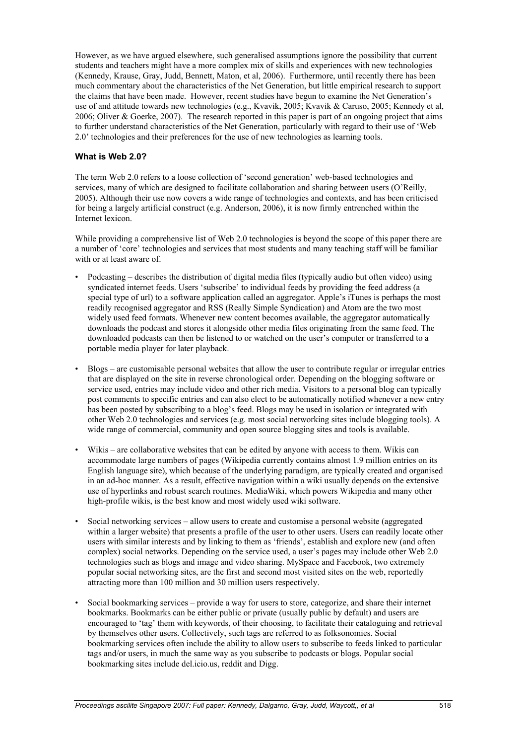However, as we have argued elsewhere, such generalised assumptions ignore the possibility that current students and teachers might have a more complex mix of skills and experiences with new technologies (Kennedy, Krause, Gray, Judd, Bennett, Maton, et al, 2006). Furthermore, until recently there has been much commentary about the characteristics of the Net Generation, but little empirical research to support the claims that have been made. However, recent studies have begun to examine the Net Generation's use of and attitude towards new technologies (e.g., Kvavik, 2005; Kvavik & Caruso, 2005; Kennedy et al, 2006; Oliver & Goerke, 2007). The research reported in this paper is part of an ongoing project that aims to further understand characteristics of the Net Generation, particularly with regard to their use of 'Web 2.0' technologies and their preferences for the use of new technologies as learning tools.

#### **What is Web 2.0?**

The term Web 2.0 refers to a loose collection of 'second generation' web-based technologies and services, many of which are designed to facilitate collaboration and sharing between users (O'Reilly, 2005). Although their use now covers a wide range of technologies and contexts, and has been criticised for being a largely artificial construct (e.g. Anderson, 2006), it is now firmly entrenched within the Internet lexicon.

While providing a comprehensive list of Web 2.0 technologies is beyond the scope of this paper there are a number of 'core' technologies and services that most students and many teaching staff will be familiar with or at least aware of.

- Podcasting describes the distribution of digital media files (typically audio but often video) using syndicated internet feeds. Users 'subscribe' to individual feeds by providing the feed address (a special type of url) to a software application called an aggregator. Apple's iTunes is perhaps the most readily recognised aggregator and RSS (Really Simple Syndication) and Atom are the two most widely used feed formats. Whenever new content becomes available, the aggregator automatically downloads the podcast and stores it alongside other media files originating from the same feed. The downloaded podcasts can then be listened to or watched on the user's computer or transferred to a portable media player for later playback.
- Blogs are customisable personal websites that allow the user to contribute regular or irregular entries that are displayed on the site in reverse chronological order. Depending on the blogging software or service used, entries may include video and other rich media. Visitors to a personal blog can typically post comments to specific entries and can also elect to be automatically notified whenever a new entry has been posted by subscribing to a blog's feed. Blogs may be used in isolation or integrated with other Web 2.0 technologies and services (e.g. most social networking sites include blogging tools). A wide range of commercial, community and open source blogging sites and tools is available.
- Wikis are collaborative websites that can be edited by anyone with access to them. Wikis can accommodate large numbers of pages (Wikipedia currently contains almost 1.9 million entries on its English language site), which because of the underlying paradigm, are typically created and organised in an ad-hoc manner. As a result, effective navigation within a wiki usually depends on the extensive use of hyperlinks and robust search routines. MediaWiki, which powers Wikipedia and many other high-profile wikis, is the best know and most widely used wiki software.
- Social networking services allow users to create and customise a personal website (aggregated within a larger website) that presents a profile of the user to other users. Users can readily locate other users with similar interests and by linking to them as 'friends', establish and explore new (and often complex) social networks. Depending on the service used, a user's pages may include other Web 2.0 technologies such as blogs and image and video sharing. MySpace and Facebook, two extremely popular social networking sites, are the first and second most visited sites on the web, reportedly attracting more than 100 million and 30 million users respectively.
- Social bookmarking services provide a way for users to store, categorize, and share their internet bookmarks. Bookmarks can be either public or private (usually public by default) and users are encouraged to 'tag' them with keywords, of their choosing, to facilitate their cataloguing and retrieval by themselves other users. Collectively, such tags are referred to as folksonomies. Social bookmarking services often include the ability to allow users to subscribe to feeds linked to particular tags and/or users, in much the same way as you subscribe to podcasts or blogs. Popular social bookmarking sites include del.icio.us, reddit and Digg.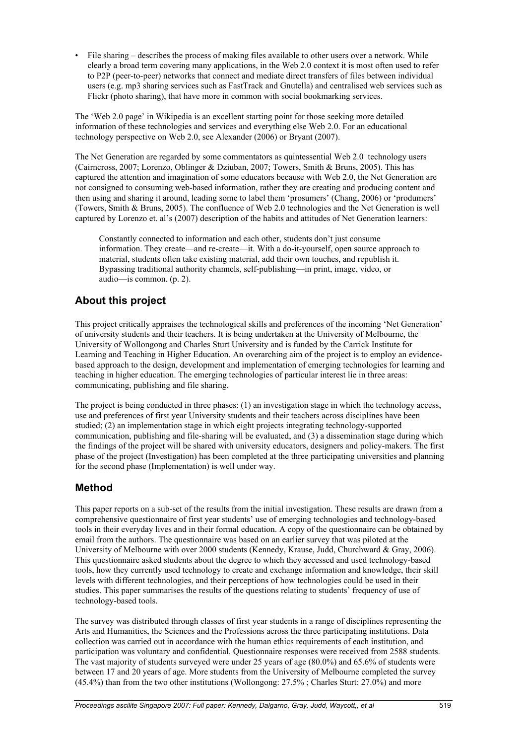• File sharing – describes the process of making files available to other users over a network. While clearly a broad term covering many applications, in the Web 2.0 context it is most often used to refer to P2P (peer-to-peer) networks that connect and mediate direct transfers of files between individual users (e.g. mp3 sharing services such as FastTrack and Gnutella) and centralised web services such as Flickr (photo sharing), that have more in common with social bookmarking services.

The 'Web 2.0 page' in Wikipedia is an excellent starting point for those seeking more detailed information of these technologies and services and everything else Web 2.0. For an educational technology perspective on Web 2.0, see Alexander (2006) or Bryant (2007).

The Net Generation are regarded by some commentators as quintessential Web 2.0 technology users (Cairncross, 2007; Lorenzo, Oblinger & Dziuban, 2007; Towers, Smith & Bruns, 2005). This has captured the attention and imagination of some educators because with Web 2.0, the Net Generation are not consigned to consuming web-based information, rather they are creating and producing content and then using and sharing it around, leading some to label them 'prosumers' (Chang, 2006) or 'produmers' (Towers, Smith & Bruns, 2005). The confluence of Web 2.0 technologies and the Net Generation is well captured by Lorenzo et. al's (2007) description of the habits and attitudes of Net Generation learners:

Constantly connected to information and each other, students don't just consume information. They create—and re-create—it. With a do-it-yourself, open source approach to material, students often take existing material, add their own touches, and republish it. Bypassing traditional authority channels, self-publishing—in print, image, video, or audio—is common. (p. 2).

## **About this project**

This project critically appraises the technological skills and preferences of the incoming 'Net Generation' of university students and their teachers. It is being undertaken at the University of Melbourne, the University of Wollongong and Charles Sturt University and is funded by the Carrick Institute for Learning and Teaching in Higher Education. An overarching aim of the project is to employ an evidencebased approach to the design, development and implementation of emerging technologies for learning and teaching in higher education. The emerging technologies of particular interest lie in three areas: communicating, publishing and file sharing.

The project is being conducted in three phases: (1) an investigation stage in which the technology access, use and preferences of first year University students and their teachers across disciplines have been studied; (2) an implementation stage in which eight projects integrating technology-supported communication, publishing and file-sharing will be evaluated, and (3) a dissemination stage during which the findings of the project will be shared with university educators, designers and policy-makers. The first phase of the project (Investigation) has been completed at the three participating universities and planning for the second phase (Implementation) is well under way.

## **Method**

This paper reports on a sub-set of the results from the initial investigation. These results are drawn from a comprehensive questionnaire of first year students' use of emerging technologies and technology-based tools in their everyday lives and in their formal education. A copy of the questionnaire can be obtained by email from the authors. The questionnaire was based on an earlier survey that was piloted at the University of Melbourne with over 2000 students (Kennedy, Krause, Judd, Churchward & Gray, 2006). This questionnaire asked students about the degree to which they accessed and used technology-based tools, how they currently used technology to create and exchange information and knowledge, their skill levels with different technologies, and their perceptions of how technologies could be used in their studies. This paper summarises the results of the questions relating to students' frequency of use of technology-based tools.

The survey was distributed through classes of first year students in a range of disciplines representing the Arts and Humanities, the Sciences and the Professions across the three participating institutions. Data collection was carried out in accordance with the human ethics requirements of each institution, and participation was voluntary and confidential. Questionnaire responses were received from 2588 students. The vast majority of students surveyed were under 25 years of age (80.0%) and 65.6% of students were between 17 and 20 years of age. More students from the University of Melbourne completed the survey (45.4%) than from the two other institutions (Wollongong: 27.5% ; Charles Sturt: 27.0%) and more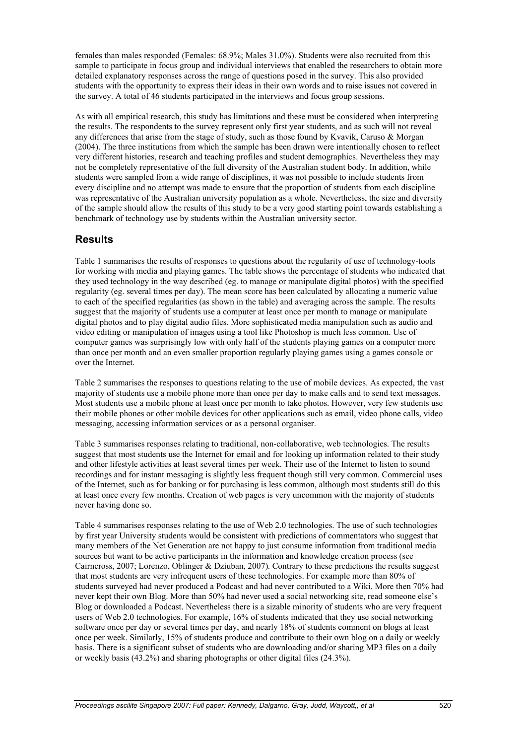females than males responded (Females: 68.9%; Males 31.0%). Students were also recruited from this sample to participate in focus group and individual interviews that enabled the researchers to obtain more detailed explanatory responses across the range of questions posed in the survey. This also provided students with the opportunity to express their ideas in their own words and to raise issues not covered in the survey. A total of 46 students participated in the interviews and focus group sessions.

As with all empirical research, this study has limitations and these must be considered when interpreting the results. The respondents to the survey represent only first year students, and as such will not reveal any differences that arise from the stage of study, such as those found by Kvavik, Caruso & Morgan (2004). The three institutions from which the sample has been drawn were intentionally chosen to reflect very different histories, research and teaching profiles and student demographics. Nevertheless they may not be completely representative of the full diversity of the Australian student body. In addition, while students were sampled from a wide range of disciplines, it was not possible to include students from every discipline and no attempt was made to ensure that the proportion of students from each discipline was representative of the Australian university population as a whole. Nevertheless, the size and diversity of the sample should allow the results of this study to be a very good starting point towards establishing a benchmark of technology use by students within the Australian university sector.

### **Results**

Table 1 summarises the results of responses to questions about the regularity of use of technology-tools for working with media and playing games. The table shows the percentage of students who indicated that they used technology in the way described (eg. to manage or manipulate digital photos) with the specified regularity (eg. several times per day). The mean score has been calculated by allocating a numeric value to each of the specified regularities (as shown in the table) and averaging across the sample. The results suggest that the majority of students use a computer at least once per month to manage or manipulate digital photos and to play digital audio files. More sophisticated media manipulation such as audio and video editing or manipulation of images using a tool like Photoshop is much less common. Use of computer games was surprisingly low with only half of the students playing games on a computer more than once per month and an even smaller proportion regularly playing games using a games console or over the Internet.

Table 2 summarises the responses to questions relating to the use of mobile devices. As expected, the vast majority of students use a mobile phone more than once per day to make calls and to send text messages. Most students use a mobile phone at least once per month to take photos. However, very few students use their mobile phones or other mobile devices for other applications such as email, video phone calls, video messaging, accessing information services or as a personal organiser.

Table 3 summarises responses relating to traditional, non-collaborative, web technologies. The results suggest that most students use the Internet for email and for looking up information related to their study and other lifestyle activities at least several times per week. Their use of the Internet to listen to sound recordings and for instant messaging is slightly less frequent though still very common. Commercial uses of the Internet, such as for banking or for purchasing is less common, although most students still do this at least once every few months. Creation of web pages is very uncommon with the majority of students never having done so.

Table 4 summarises responses relating to the use of Web 2.0 technologies. The use of such technologies by first year University students would be consistent with predictions of commentators who suggest that many members of the Net Generation are not happy to just consume information from traditional media sources but want to be active participants in the information and knowledge creation process (see Cairncross, 2007; Lorenzo, Oblinger & Dziuban, 2007). Contrary to these predictions the results suggest that most students are very infrequent users of these technologies. For example more than 80% of students surveyed had never produced a Podcast and had never contributed to a Wiki. More then 70% had never kept their own Blog. More than 50% had never used a social networking site, read someone else's Blog or downloaded a Podcast. Nevertheless there is a sizable minority of students who are very frequent users of Web 2.0 technologies. For example, 16% of students indicated that they use social networking software once per day or several times per day, and nearly 18% of students comment on blogs at least once per week. Similarly, 15% of students produce and contribute to their own blog on a daily or weekly basis. There is a significant subset of students who are downloading and/or sharing MP3 files on a daily or weekly basis (43.2%) and sharing photographs or other digital files (24.3%).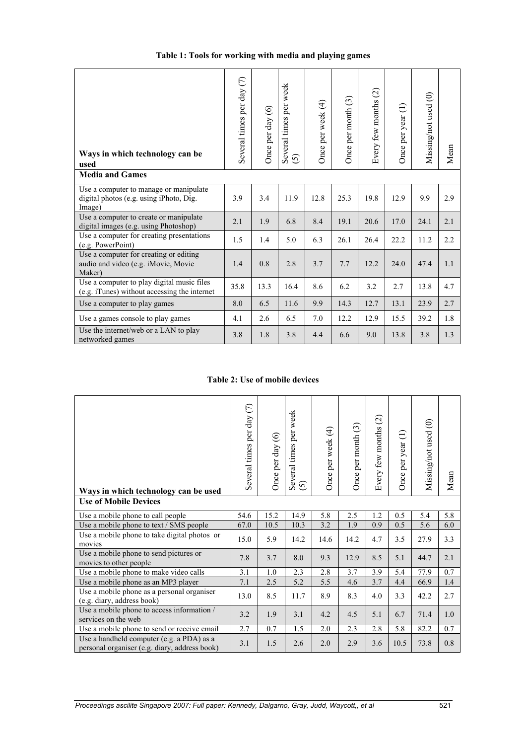| Ways in which technology can be<br>used<br><b>Media and Games</b>                           | Several times per day (7) | Once per day $(6)$ | Several times per week<br>$\odot$ | Once per week (4) | Once per month (3) | $\widehat{\omega}$<br>Every few months | Once per year (1) | Missing/not used (0) | Mean |
|---------------------------------------------------------------------------------------------|---------------------------|--------------------|-----------------------------------|-------------------|--------------------|----------------------------------------|-------------------|----------------------|------|
| Use a computer to manage or manipulate<br>digital photos (e.g. using iPhoto, Dig.<br>Image) | 3.9                       | 3.4                | 11.9                              | 12.8              | 25.3               | 19.8                                   | 12.9              | 9.9                  | 2.9  |
| Use a computer to create or manipulate<br>digital images (e.g. using Photoshop)             | 2.1                       | 1.9                | 6.8                               | 8.4               | 19.1               | 20.6                                   | 17.0              | 24.1                 | 2.1  |
| Use a computer for creating presentations<br>(e.g. PowerPoint)                              | 1.5                       | 1.4                | 5.0                               | 6.3               | 26.1               | 26.4                                   | 22.2              | 11.2                 | 2.2  |
| Use a computer for creating or editing<br>audio and video (e.g. iMovie, Movie<br>Maker)     | 1.4                       | 0.8                | 2.8                               | 3.7               | 7.7                | 12.2                                   | 24.0              | 47.4                 | 1.1  |
| Use a computer to play digital music files<br>(e.g. iTunes) without accessing the internet  | 35.8                      | 13.3               | 16.4                              | 8.6               | 6.2                | 3.2                                    | 2.7               | 13.8                 | 4.7  |
| Use a computer to play games                                                                | 8.0                       | 6.5                | 11.6                              | 9.9               | 14.3               | 12.7                                   | 13.1              | 23.9                 | 2.7  |
| Use a games console to play games                                                           | 4.1                       | 2.6                | 6.5                               | 7.0               | 12.2               | 12.9                                   | 15.5              | 39.2                 | 1.8  |
| Use the internet/web or a LAN to play<br>networked games                                    | 3.8                       | 1.8                | 3.8                               | 4.4               | 6.6                | 9.0                                    | 13.8              | 3.8                  | 1.3  |

#### **Table 2: Use of mobile devices**

| Ways in which technology can be used                                                       | Several times per day (7) | Once per day $(6)$ | Several times per week<br>$\odot$ | Once per week (4) | Once per month (3) | $\odot$<br>few months<br>Every | Once per year (1) | Missing/not used (0) | Mean |
|--------------------------------------------------------------------------------------------|---------------------------|--------------------|-----------------------------------|-------------------|--------------------|--------------------------------|-------------------|----------------------|------|
| <b>Use of Mobile Devices</b>                                                               |                           |                    |                                   |                   |                    |                                |                   |                      |      |
| Use a mobile phone to call people                                                          | 54.6                      | 15.2               | 14.9                              | 5.8               | 2.5                | 1.2                            | 0.5               | 5.4                  | 5.8  |
| Use a mobile phone to text / SMS people                                                    | 67.0                      | 10.5               | 10.3                              | 3.2               | 1.9                | 0.9                            | 0.5               | 5.6                  | 6.0  |
| Use a mobile phone to take digital photos or<br>movies                                     | 15.0                      | 5.9                | 14.2                              | 14.6              | 14.2               | 4.7                            | 3.5               | 27.9                 | 3.3  |
| Use a mobile phone to send pictures or<br>movies to other people                           | 7.8                       | 3.7                | 8.0                               | 9.3               | 12.9               | 8.5                            | 5.1               | 44.7                 | 2.1  |
| Use a mobile phone to make video calls                                                     | 3.1                       | 1.0                | 2.3                               | 2.8               | 3.7                | 3.9                            | 5.4               | 77.9                 | 0.7  |
| Use a mobile phone as an MP3 player                                                        | 7.1                       | 2.5                | 5.2                               | 5.5               | 4.6                | 3.7                            | 4.4               | 66.9                 | 1.4  |
| Use a mobile phone as a personal organiser<br>(e.g. diary, address book)                   | 13.0                      | 8.5                | 11.7                              | 8.9               | 8.3                | 4.0                            | 3.3               | 42.2                 | 2.7  |
| Use a mobile phone to access information /<br>services on the web                          | 3.2                       | 1.9                | 3.1                               | 4.2               | 4.5                | 5.1                            | 6.7               | 71.4                 | 1.0  |
| Use a mobile phone to send or receive email                                                | 2.7                       | 0.7                | 1.5                               | 2.0               | 2.3                | 2.8                            | 5.8               | 82.2                 | 0.7  |
| Use a handheld computer (e.g. a PDA) as a<br>personal organiser (e.g. diary, address book) | 3.1                       | 1.5                | 2.6                               | 2.0               | 2.9                | 3.6                            | 10.5              | 73.8                 | 0.8  |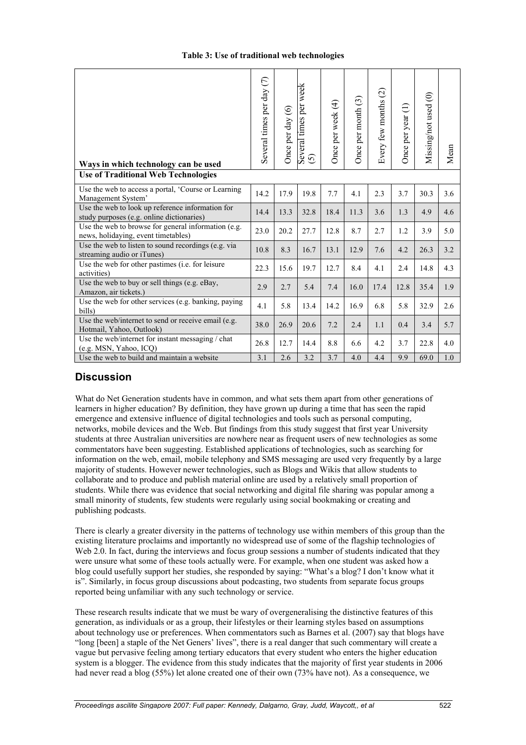|  |  |  |  | Table 3: Use of traditional web technologies |
|--|--|--|--|----------------------------------------------|
|--|--|--|--|----------------------------------------------|

| Ways in which technology can be used                                                          | Several times per day (7) | Once per day (6) | Several times per week<br>$\odot$ | Once per week (4) | Once per month (3) | Every few months (2) | Once per year (1) | Missing/not used (0) | Mean |
|-----------------------------------------------------------------------------------------------|---------------------------|------------------|-----------------------------------|-------------------|--------------------|----------------------|-------------------|----------------------|------|
| <b>Use of Traditional Web Technologies</b>                                                    |                           |                  |                                   |                   |                    |                      |                   |                      |      |
| Use the web to access a portal, 'Course or Learning<br>Management System'                     | 14.2                      | 17.9             | 19.8                              | 7.7               | 4.1                | 2.3                  | 3.7               | 30.3                 | 3.6  |
| Use the web to look up reference information for<br>study purposes (e.g. online dictionaries) | 14.4                      | 13.3             | 32.8                              | 18.4              | 11.3               | 3.6                  | 1.3               | 4.9                  | 4.6  |
| Use the web to browse for general information (e.g.<br>news, holidaying, event timetables)    | 23.0                      | 20.2             | 27.7                              | 12.8              | 8.7                | 2.7                  | 1.2               | 3.9                  | 5.0  |
| Use the web to listen to sound recordings (e.g. via<br>streaming audio or iTunes)             | 10.8                      | 8.3              | 16.7                              | 13.1              | 12.9               | 7.6                  | 4.2               | 26.3                 | 3.2  |
| Use the web for other pastimes (i.e. for leisure<br>activities)                               | 22.3                      | 15.6             | 19.7                              | 12.7              | 8.4                | 4.1                  | 2.4               | 14.8                 | 4.3  |
| Use the web to buy or sell things (e.g. eBay,<br>Amazon, air tickets.)                        | 2.9                       | 2.7              | 5.4                               | 7.4               | 16.0               | 17.4                 | 12.8              | 35.4                 | 1.9  |
| Use the web for other services (e.g. banking, paying<br>bills)                                | 4.1                       | 5.8              | 13.4                              | 14.2              | 16.9               | 6.8                  | 5.8               | 32.9                 | 2.6  |
| Use the web/internet to send or receive email (e.g.<br>Hotmail, Yahoo, Outlook)               | 38.0                      | 26.9             | 20.6                              | 7.2               | 2.4                | 1.1                  | 0.4               | 3.4                  | 5.7  |
| Use the web/internet for instant messaging / chat<br>(e.g. MSN, Yahoo, ICQ)                   | 26.8                      | 12.7             | 14.4                              | 8.8               | 6.6                | 4.2                  | 3.7               | 22.8                 | 4.0  |
| Use the web to build and maintain a website                                                   | 3.1                       | 2.6              | 3.2                               | 3.7               | 4.0                | 4.4                  | 9.9               | 69.0                 | 1.0  |

### **Discussion**

What do Net Generation students have in common, and what sets them apart from other generations of learners in higher education? By definition, they have grown up during a time that has seen the rapid emergence and extensive influence of digital technologies and tools such as personal computing, networks, mobile devices and the Web. But findings from this study suggest that first year University students at three Australian universities are nowhere near as frequent users of new technologies as some commentators have been suggesting. Established applications of technologies, such as searching for information on the web, email, mobile telephony and SMS messaging are used very frequently by a large majority of students. However newer technologies, such as Blogs and Wikis that allow students to collaborate and to produce and publish material online are used by a relatively small proportion of students. While there was evidence that social networking and digital file sharing was popular among a small minority of students, few students were regularly using social bookmaking or creating and publishing podcasts.

There is clearly a greater diversity in the patterns of technology use within members of this group than the existing literature proclaims and importantly no widespread use of some of the flagship technologies of Web 2.0. In fact, during the interviews and focus group sessions a number of students indicated that they were unsure what some of these tools actually were. For example, when one student was asked how a blog could usefully support her studies, she responded by saying: "What's a blog? I don't know what it is". Similarly, in focus group discussions about podcasting, two students from separate focus groups reported being unfamiliar with any such technology or service.

These research results indicate that we must be wary of overgeneralising the distinctive features of this generation, as individuals or as a group, their lifestyles or their learning styles based on assumptions about technology use or preferences. When commentators such as Barnes et al. (2007) say that blogs have "long [been] a staple of the Net Geners' lives", there is a real danger that such commentary will create a vague but pervasive feeling among tertiary educators that every student who enters the higher education system is a blogger. The evidence from this study indicates that the majority of first year students in 2006 had never read a blog (55%) let alone created one of their own (73% have not). As a consequence, we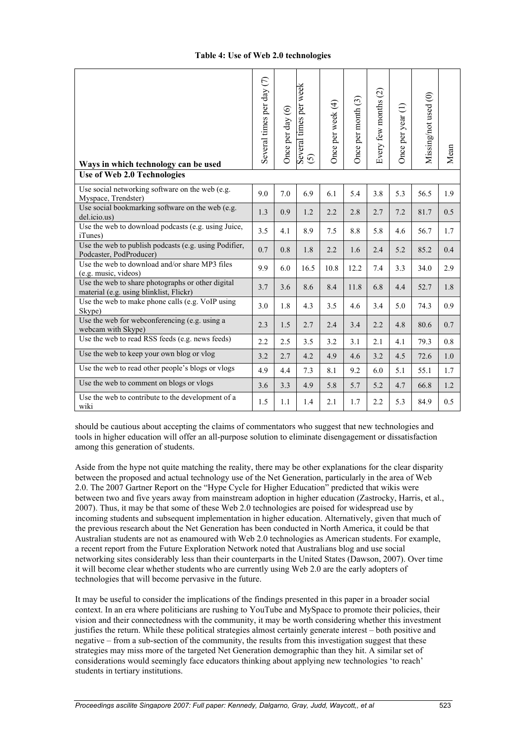| Ways in which technology can be used                                                         | Several times per day (7) | Once per day (6) | Several times per week<br>$\odot$ | Once per week (4) | Once per month (3) | $\widehat{\mathcal{C}}$<br>Every few months | Once per year (1) | Missing/not used (0) | Mean    |
|----------------------------------------------------------------------------------------------|---------------------------|------------------|-----------------------------------|-------------------|--------------------|---------------------------------------------|-------------------|----------------------|---------|
| Use of Web 2.0 Technologies                                                                  |                           |                  |                                   |                   |                    |                                             |                   |                      |         |
| Use social networking software on the web (e.g.<br>Myspace, Trendster)                       | 9.0                       | 7.0              | 6.9                               | 6.1               | 5.4                | 3.8                                         | 5.3               | 56.5                 | 1.9     |
| Use social bookmarking software on the web (e.g.<br>del.icio.us)                             | 1.3                       | 0.9              | 1.2                               | 2.2               | 2.8                | 2.7                                         | 7.2               | 81.7                 | 0.5     |
| Use the web to download podcasts (e.g. using Juice,<br><i>iTunes</i> )                       | 3.5                       | 4.1              | 8.9                               | 7.5               | 8.8                | 5.8                                         | 4.6               | 56.7                 | 1.7     |
| Use the web to publish podcasts (e.g. using Podifier,<br>Podcaster, PodProducer)             | 0.7                       | 0.8              | 1.8                               | 2.2               | 1.6                | 2.4                                         | 5.2               | 85.2                 | 0.4     |
| Use the web to download and/or share MP3 files<br>(e.g. music, videos)                       | 9.9                       | 6.0              | 16.5                              | 10.8              | 12.2               | 7.4                                         | 3.3               | 34.0                 | 2.9     |
| Use the web to share photographs or other digital<br>material (e.g. using blinklist, Flickr) | 3.7                       | 3.6              | 8.6                               | 8.4               | 11.8               | 6.8                                         | 4.4               | 52.7                 | 1.8     |
| Use the web to make phone calls (e.g. $VoIP$ using<br>Skype)                                 | 3.0                       | 1.8              | 4.3                               | 3.5               | 4.6                | 3.4                                         | 5.0               | 74.3                 | 0.9     |
| Use the web for webconferencing (e.g. using a<br>webcam with Skype)                          | 2.3                       | 1.5              | 2.7                               | 2.4               | 3.4                | 2.2                                         | 4.8               | 80.6                 | 0.7     |
| Use the web to read RSS feeds (e.g. news feeds)                                              | 2.2                       | 2.5              | 3.5                               | 3.2               | 3.1                | 2.1                                         | 4.1               | 79.3                 | 0.8     |
| Use the web to keep your own blog or vlog                                                    | 3.2                       | 2.7              | 4.2                               | 4.9               | 4.6                | 3.2                                         | 4.5               | 72.6                 | $1.0\,$ |
| Use the web to read other people's blogs or vlogs                                            | 4.9                       | 4.4              | 7.3                               | 8.1               | 9.2                | 6.0                                         | 5.1               | 55.1                 | 1.7     |
| Use the web to comment on blogs or vlogs                                                     | 3.6                       | 3.3              | 4.9                               | 5.8               | 5.7                | 5.2                                         | 4.7               | 66.8                 | 1.2     |
| Use the web to contribute to the development of a<br>wiki                                    | 1.5                       | 1.1              | 1.4                               | 2.1               | 1.7                | 2.2                                         | 5.3               | 84.9                 | 0.5     |

should be cautious about accepting the claims of commentators who suggest that new technologies and tools in higher education will offer an all-purpose solution to eliminate disengagement or dissatisfaction among this generation of students.

Aside from the hype not quite matching the reality, there may be other explanations for the clear disparity between the proposed and actual technology use of the Net Generation, particularly in the area of Web 2.0. The 2007 Gartner Report on the "Hype Cycle for Higher Education" predicted that wikis were between two and five years away from mainstream adoption in higher education (Zastrocky, Harris, et al., 2007). Thus, it may be that some of these Web 2.0 technologies are poised for widespread use by incoming students and subsequent implementation in higher education. Alternatively, given that much of the previous research about the Net Generation has been conducted in North America, it could be that Australian students are not as enamoured with Web 2.0 technologies as American students. For example, a recent report from the Future Exploration Network noted that Australians blog and use social networking sites considerably less than their counterparts in the United States (Dawson, 2007). Over time it will become clear whether students who are currently using Web 2.0 are the early adopters of technologies that will become pervasive in the future.

It may be useful to consider the implications of the findings presented in this paper in a broader social context. In an era where politicians are rushing to YouTube and MySpace to promote their policies, their vision and their connectedness with the community, it may be worth considering whether this investment justifies the return. While these political strategies almost certainly generate interest – both positive and negative – from a sub-section of the community, the results from this investigation suggest that these strategies may miss more of the targeted Net Generation demographic than they hit. A similar set of considerations would seemingly face educators thinking about applying new technologies 'to reach' students in tertiary institutions.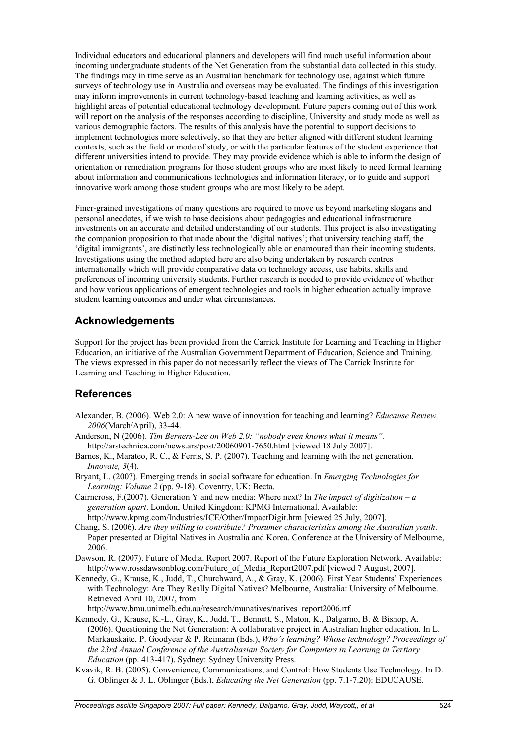Individual educators and educational planners and developers will find much useful information about incoming undergraduate students of the Net Generation from the substantial data collected in this study. The findings may in time serve as an Australian benchmark for technology use, against which future surveys of technology use in Australia and overseas may be evaluated. The findings of this investigation may inform improvements in current technology-based teaching and learning activities, as well as highlight areas of potential educational technology development. Future papers coming out of this work will report on the analysis of the responses according to discipline, University and study mode as well as various demographic factors. The results of this analysis have the potential to support decisions to implement technologies more selectively, so that they are better aligned with different student learning contexts, such as the field or mode of study, or with the particular features of the student experience that different universities intend to provide. They may provide evidence which is able to inform the design of orientation or remediation programs for those student groups who are most likely to need formal learning about information and communications technologies and information literacy, or to guide and support innovative work among those student groups who are most likely to be adept.

Finer-grained investigations of many questions are required to move us beyond marketing slogans and personal anecdotes, if we wish to base decisions about pedagogies and educational infrastructure investments on an accurate and detailed understanding of our students. This project is also investigating the companion proposition to that made about the 'digital natives'; that university teaching staff, the 'digital immigrants', are distinctly less technologically able or enamoured than their incoming students. Investigations using the method adopted here are also being undertaken by research centres internationally which will provide comparative data on technology access, use habits, skills and preferences of incoming university students. Further research is needed to provide evidence of whether and how various applications of emergent technologies and tools in higher education actually improve student learning outcomes and under what circumstances.

### **Acknowledgements**

Support for the project has been provided from the Carrick Institute for Learning and Teaching in Higher Education, an initiative of the Australian Government Department of Education, Science and Training. The views expressed in this paper do not necessarily reflect the views of The Carrick Institute for Learning and Teaching in Higher Education.

## **References**

- Alexander, B. (2006). Web 2.0: A new wave of innovation for teaching and learning? *Educause Review, 2006*(March/April), 33-44.
- Anderson, N (2006). *Tim Berners-Lee on Web 2.0: "nobody even knows what it means".* http://arstechnica.com/news.ars/post/20060901-7650.html [viewed 18 July 2007].
- Barnes, K., Marateo, R. C., & Ferris, S. P. (2007). Teaching and learning with the net generation. *Innovate, 3*(4).
- Bryant, L. (2007). Emerging trends in social software for education. In *Emerging Technologies for Learning: Volume 2* (pp. 9-18). Coventry, UK: Becta.
- Cairncross, F.(2007). Generation Y and new media: Where next? In *The impact of digitization a generation apart*. London, United Kingdom: KPMG International. Available: http://www.kpmg.com/Industries/ICE/Other/ImpactDigit.htm [viewed 25 July, 2007].
- Chang, S. (2006). *Are they willing to contribute? Prosumer characteristics among the Australian youth*. Paper presented at Digital Natives in Australia and Korea. Conference at the University of Melbourne, 2006.
- Dawson, R. (2007). Future of Media. Report 2007. Report of the Future Exploration Network. Available: http://www.rossdawsonblog.com/Future\_of\_Media\_Report2007.pdf [viewed 7 August, 2007].
- Kennedy, G., Krause, K., Judd, T., Churchward, A., & Gray, K. (2006). First Year Students' Experiences with Technology: Are They Really Digital Natives? Melbourne, Australia: University of Melbourne. Retrieved April 10, 2007, from
- http://www.bmu.unimelb.edu.au/research/munatives/natives\_report2006.rtf
- Kennedy, G., Krause, K.-L., Gray, K., Judd, T., Bennett, S., Maton, K., Dalgarno, B. & Bishop, A. (2006). Questioning the Net Generation: A collaborative project in Australian higher education. In L. Markauskaite, P. Goodyear & P. Reimann (Eds.), *Who's learning? Whose technology? Proceedings of the 23rd Annual Conference of the Australiasian Society for Computers in Learning in Tertiary Education* (pp. 413-417). Sydney: Sydney University Press.
- Kvavik, R. B. (2005). Convenience, Communications, and Control: How Students Use Technology. In D. G. Oblinger & J. L. Oblinger (Eds.), *Educating the Net Generation* (pp. 7.1-7.20): EDUCAUSE.